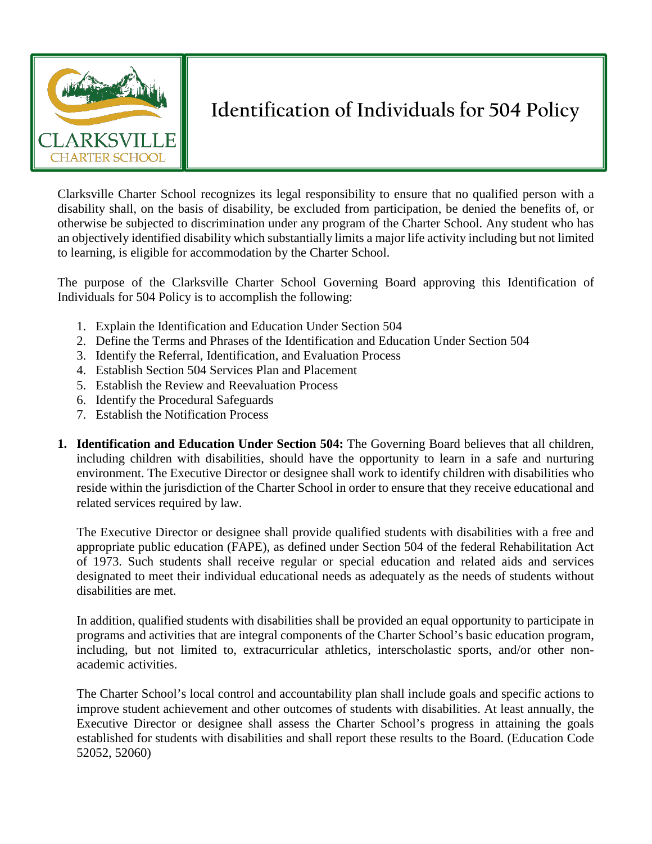

## **Identification of Individuals for 504 Policy**

Clarksville Charter School recognizes its legal responsibility to ensure that no qualified person with a disability shall, on the basis of disability, be excluded from participation, be denied the benefits of, or otherwise be subjected to discrimination under any program of the Charter School. Any student who has an objectively identified disability which substantially limits a major life activity including but not limited to learning, is eligible for accommodation by the Charter School.

The purpose of the Clarksville Charter School Governing Board approving this Identification of Individuals for 504 Policy is to accomplish the following:

- 1. Explain the Identification and Education Under Section 504
- 2. Define the Terms and Phrases of the Identification and Education Under Section 504
- 3. Identify the Referral, Identification, and Evaluation Process
- 4. Establish Section 504 Services Plan and Placement
- 5. Establish the Review and Reevaluation Process
- 6. Identify the Procedural Safeguards
- 7. Establish the Notification Process
- **1. Identification and Education Under Section 504:** The Governing Board believes that all children, including children with disabilities, should have the opportunity to learn in a safe and nurturing environment. The Executive Director or designee shall work to identify children with disabilities who reside within the jurisdiction of the Charter School in order to ensure that they receive educational and related services required by law.

The Executive Director or designee shall provide qualified students with disabilities with a free and appropriate public education (FAPE), as defined under Section 504 of the federal Rehabilitation Act of 1973. Such students shall receive regular or special education and related aids and services designated to meet their individual educational needs as adequately as the needs of students without disabilities are met.

In addition, qualified students with disabilities shall be provided an equal opportunity to participate in programs and activities that are integral components of the Charter School's basic education program, including, but not limited to, extracurricular athletics, interscholastic sports, and/or other nonacademic activities.

The Charter School's local control and accountability plan shall include goals and specific actions to improve student achievement and other outcomes of students with disabilities. At least annually, the Executive Director or designee shall assess the Charter School's progress in attaining the goals established for students with disabilities and shall report these results to the Board. (Education Code 52052, 52060)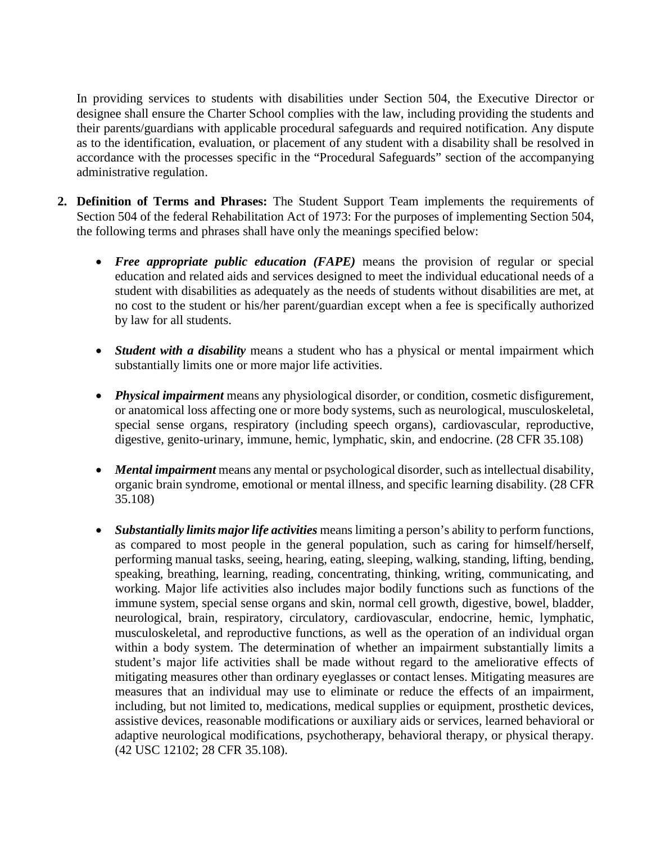In providing services to students with disabilities under Section 504, the Executive Director or designee shall ensure the Charter School complies with the law, including providing the students and their parents/guardians with applicable procedural safeguards and required notification. Any dispute as to the identification, evaluation, or placement of any student with a disability shall be resolved in accordance with the processes specific in the "Procedural Safeguards" section of the accompanying administrative regulation.

- **2. Definition of Terms and Phrases:** The Student Support Team implements the requirements of Section 504 of the federal Rehabilitation Act of 1973: For the purposes of implementing Section 504, the following terms and phrases shall have only the meanings specified below:
	- *Free appropriate public education (FAPE)* means the provision of regular or special education and related aids and services designed to meet the individual educational needs of a student with disabilities as adequately as the needs of students without disabilities are met, at no cost to the student or his/her parent/guardian except when a fee is specifically authorized by law for all students.
	- *Student with a disability* means a student who has a physical or mental impairment which substantially limits one or more major life activities.
	- *Physical impairment* means any physiological disorder, or condition, cosmetic disfigurement, or anatomical loss affecting one or more body systems, such as neurological, musculoskeletal, special sense organs, respiratory (including speech organs), cardiovascular, reproductive, digestive, genito-urinary, immune, hemic, lymphatic, skin, and endocrine. (28 CFR 35.108)
	- *Mental impairment* means any mental or psychological disorder, such as intellectual disability, organic brain syndrome, emotional or mental illness, and specific learning disability. (28 CFR 35.108)
	- *Substantially limits major life activities* means limiting a person's ability to perform functions, as compared to most people in the general population, such as caring for himself/herself, performing manual tasks, seeing, hearing, eating, sleeping, walking, standing, lifting, bending, speaking, breathing, learning, reading, concentrating, thinking, writing, communicating, and working. Major life activities also includes major bodily functions such as functions of the immune system, special sense organs and skin, normal cell growth, digestive, bowel, bladder, neurological, brain, respiratory, circulatory, cardiovascular, endocrine, hemic, lymphatic, musculoskeletal, and reproductive functions, as well as the operation of an individual organ within a body system. The determination of whether an impairment substantially limits a student's major life activities shall be made without regard to the ameliorative effects of mitigating measures other than ordinary eyeglasses or contact lenses. Mitigating measures are measures that an individual may use to eliminate or reduce the effects of an impairment, including, but not limited to, medications, medical supplies or equipment, prosthetic devices, assistive devices, reasonable modifications or auxiliary aids or services, learned behavioral or adaptive neurological modifications, psychotherapy, behavioral therapy, or physical therapy. (42 USC 12102; 28 CFR 35.108).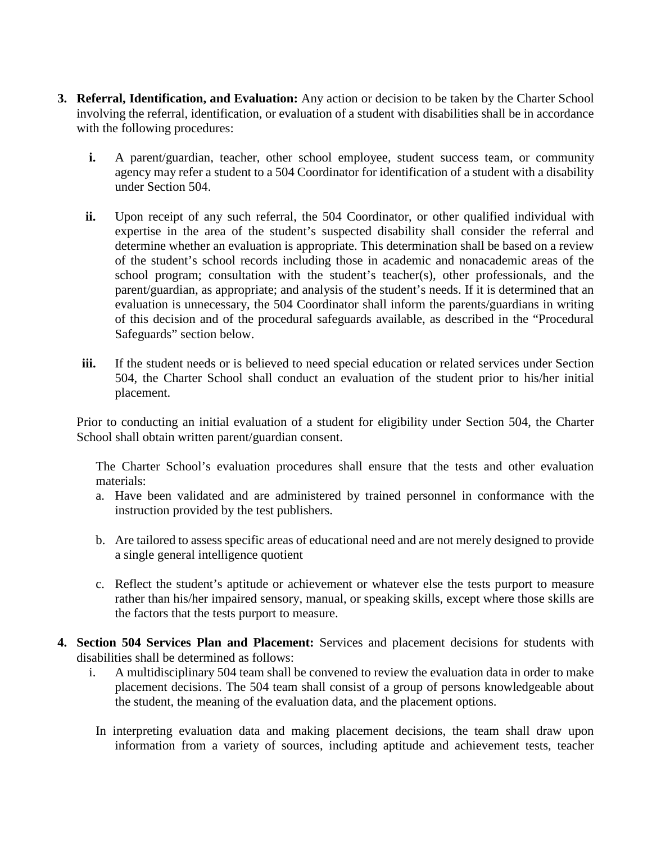- **3. Referral, Identification, and Evaluation:** Any action or decision to be taken by the Charter School involving the referral, identification, or evaluation of a student with disabilities shall be in accordance with the following procedures:
	- **i.** A parent/guardian, teacher, other school employee, student success team, or community agency may refer a student to a 504 Coordinator for identification of a student with a disability under Section 504.
	- ii. Upon receipt of any such referral, the 504 Coordinator, or other qualified individual with expertise in the area of the student's suspected disability shall consider the referral and determine whether an evaluation is appropriate. This determination shall be based on a review of the student's school records including those in academic and nonacademic areas of the school program; consultation with the student's teacher(s), other professionals, and the parent/guardian, as appropriate; and analysis of the student's needs. If it is determined that an evaluation is unnecessary, the 504 Coordinator shall inform the parents/guardians in writing of this decision and of the procedural safeguards available, as described in the "Procedural Safeguards" section below.
	- **iii.** If the student needs or is believed to need special education or related services under Section 504, the Charter School shall conduct an evaluation of the student prior to his/her initial placement.

Prior to conducting an initial evaluation of a student for eligibility under Section 504, the Charter School shall obtain written parent/guardian consent.

The Charter School's evaluation procedures shall ensure that the tests and other evaluation materials:

- a. Have been validated and are administered by trained personnel in conformance with the instruction provided by the test publishers.
- b. Are tailored to assess specific areas of educational need and are not merely designed to provide a single general intelligence quotient
- c. Reflect the student's aptitude or achievement or whatever else the tests purport to measure rather than his/her impaired sensory, manual, or speaking skills, except where those skills are the factors that the tests purport to measure.
- **4. Section 504 Services Plan and Placement:** Services and placement decisions for students with disabilities shall be determined as follows:
	- i. A multidisciplinary 504 team shall be convened to review the evaluation data in order to make placement decisions. The 504 team shall consist of a group of persons knowledgeable about the student, the meaning of the evaluation data, and the placement options.
		- In interpreting evaluation data and making placement decisions, the team shall draw upon information from a variety of sources, including aptitude and achievement tests, teacher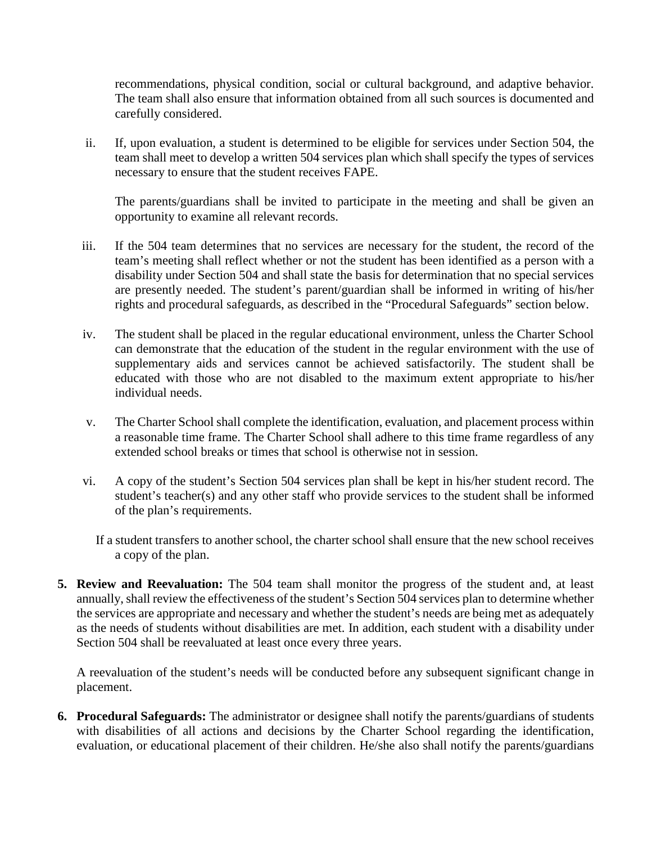recommendations, physical condition, social or cultural background, and adaptive behavior. The team shall also ensure that information obtained from all such sources is documented and carefully considered.

ii. If, upon evaluation, a student is determined to be eligible for services under Section 504, the team shall meet to develop a written 504 services plan which shall specify the types of services necessary to ensure that the student receives FAPE.

The parents/guardians shall be invited to participate in the meeting and shall be given an opportunity to examine all relevant records.

- iii. If the 504 team determines that no services are necessary for the student, the record of the team's meeting shall reflect whether or not the student has been identified as a person with a disability under Section 504 and shall state the basis for determination that no special services are presently needed. The student's parent/guardian shall be informed in writing of his/her rights and procedural safeguards, as described in the "Procedural Safeguards" section below.
- iv. The student shall be placed in the regular educational environment, unless the Charter School can demonstrate that the education of the student in the regular environment with the use of supplementary aids and services cannot be achieved satisfactorily. The student shall be educated with those who are not disabled to the maximum extent appropriate to his/her individual needs.
- v. The Charter School shall complete the identification, evaluation, and placement process within a reasonable time frame. The Charter School shall adhere to this time frame regardless of any extended school breaks or times that school is otherwise not in session.
- vi. A copy of the student's Section 504 services plan shall be kept in his/her student record. The student's teacher(s) and any other staff who provide services to the student shall be informed of the plan's requirements.

If a student transfers to another school, the charter school shall ensure that the new school receives a copy of the plan.

**5. Review and Reevaluation:** The 504 team shall monitor the progress of the student and, at least annually, shall review the effectiveness of the student's Section 504 services plan to determine whether the services are appropriate and necessary and whether the student's needs are being met as adequately as the needs of students without disabilities are met. In addition, each student with a disability under Section 504 shall be reevaluated at least once every three years.

A reevaluation of the student's needs will be conducted before any subsequent significant change in placement.

**6. Procedural Safeguards:** The administrator or designee shall notify the parents/guardians of students with disabilities of all actions and decisions by the Charter School regarding the identification, evaluation, or educational placement of their children. He/she also shall notify the parents/guardians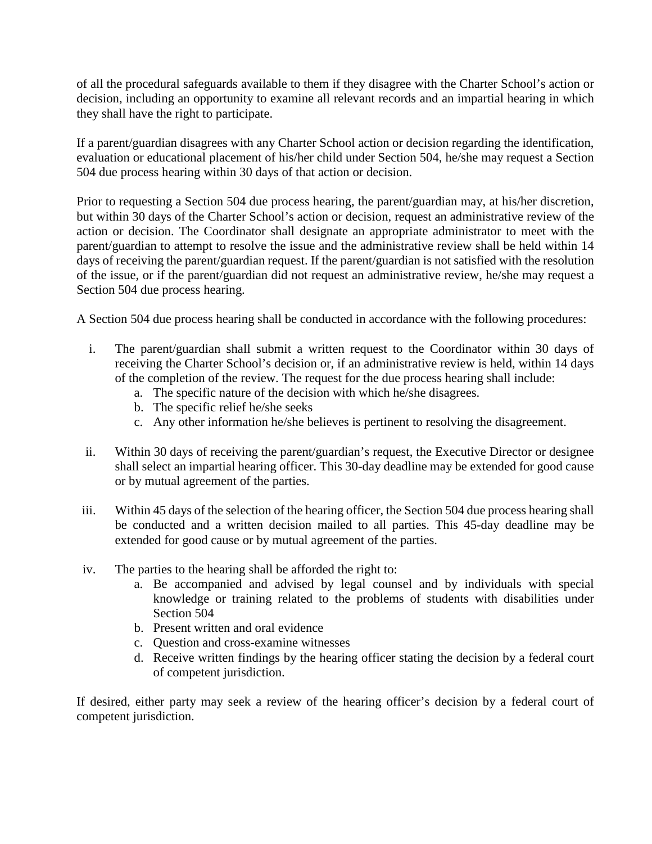of all the procedural safeguards available to them if they disagree with the Charter School's action or decision, including an opportunity to examine all relevant records and an impartial hearing in which they shall have the right to participate.

If a parent/guardian disagrees with any Charter School action or decision regarding the identification, evaluation or educational placement of his/her child under Section 504, he/she may request a Section 504 due process hearing within 30 days of that action or decision.

Prior to requesting a Section 504 due process hearing, the parent/guardian may, at his/her discretion, but within 30 days of the Charter School's action or decision, request an administrative review of the action or decision. The Coordinator shall designate an appropriate administrator to meet with the parent/guardian to attempt to resolve the issue and the administrative review shall be held within 14 days of receiving the parent/guardian request. If the parent/guardian is not satisfied with the resolution of the issue, or if the parent/guardian did not request an administrative review, he/she may request a Section 504 due process hearing.

A Section 504 due process hearing shall be conducted in accordance with the following procedures:

- i. The parent/guardian shall submit a written request to the Coordinator within 30 days of receiving the Charter School's decision or, if an administrative review is held, within 14 days of the completion of the review. The request for the due process hearing shall include:
	- a. The specific nature of the decision with which he/she disagrees.
	- b. The specific relief he/she seeks
	- c. Any other information he/she believes is pertinent to resolving the disagreement.
- ii. Within 30 days of receiving the parent/guardian's request, the Executive Director or designee shall select an impartial hearing officer. This 30-day deadline may be extended for good cause or by mutual agreement of the parties.
- iii. Within 45 days of the selection of the hearing officer, the Section 504 due process hearing shall be conducted and a written decision mailed to all parties. This 45-day deadline may be extended for good cause or by mutual agreement of the parties.
- iv. The parties to the hearing shall be afforded the right to:
	- a. Be accompanied and advised by legal counsel and by individuals with special knowledge or training related to the problems of students with disabilities under Section 504
	- b. Present written and oral evidence
	- c. Question and cross-examine witnesses
	- d. Receive written findings by the hearing officer stating the decision by a federal court of competent jurisdiction.

If desired, either party may seek a review of the hearing officer's decision by a federal court of competent jurisdiction.